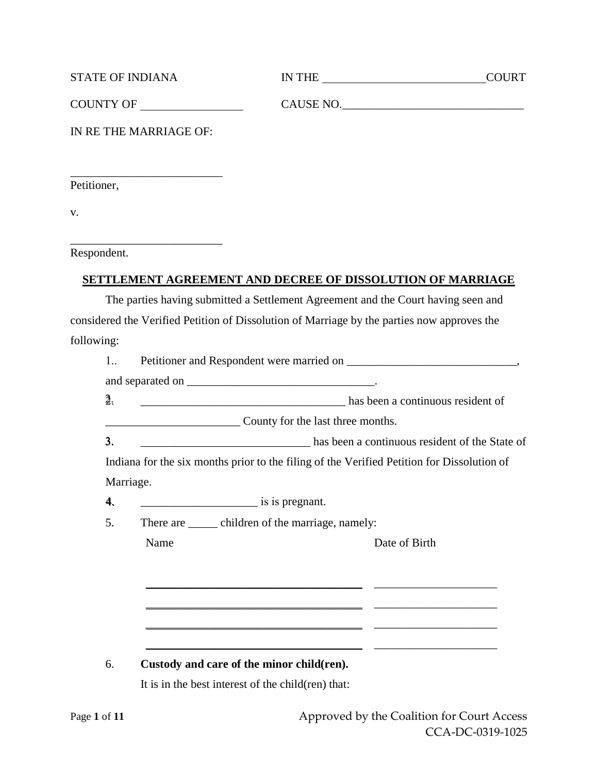|                | <b>STATE OF INDIANA</b>                                                                                                                                                                                                                                                                                                                                                                                                           | IN THE                                                                                      | <b>COURT</b>  |
|----------------|-----------------------------------------------------------------------------------------------------------------------------------------------------------------------------------------------------------------------------------------------------------------------------------------------------------------------------------------------------------------------------------------------------------------------------------|---------------------------------------------------------------------------------------------|---------------|
|                |                                                                                                                                                                                                                                                                                                                                                                                                                                   |                                                                                             | CAUSE NO.     |
|                | IN RE THE MARRIAGE OF:                                                                                                                                                                                                                                                                                                                                                                                                            |                                                                                             |               |
| Petitioner,    |                                                                                                                                                                                                                                                                                                                                                                                                                                   |                                                                                             |               |
| v.             |                                                                                                                                                                                                                                                                                                                                                                                                                                   |                                                                                             |               |
| Respondent.    | the control of the control of the control of the control of                                                                                                                                                                                                                                                                                                                                                                       |                                                                                             |               |
|                |                                                                                                                                                                                                                                                                                                                                                                                                                                   | SETTLEMENT AGREEMENT AND DECREE OF DISSOLUTION OF MARRIAGE                                  |               |
|                |                                                                                                                                                                                                                                                                                                                                                                                                                                   | The parties having submitted a Settlement Agreement and the Court having seen and           |               |
|                |                                                                                                                                                                                                                                                                                                                                                                                                                                   | considered the Verified Petition of Dissolution of Marriage by the parties now approves the |               |
| following:     |                                                                                                                                                                                                                                                                                                                                                                                                                                   |                                                                                             |               |
| 1              |                                                                                                                                                                                                                                                                                                                                                                                                                                   |                                                                                             |               |
|                |                                                                                                                                                                                                                                                                                                                                                                                                                                   |                                                                                             |               |
| $\overline{2}$ |                                                                                                                                                                                                                                                                                                                                                                                                                                   | has been a continuous resident of                                                           |               |
|                |                                                                                                                                                                                                                                                                                                                                                                                                                                   | County for the last three months.                                                           |               |
| 3.             |                                                                                                                                                                                                                                                                                                                                                                                                                                   | has been a continuous resident of the State of                                              |               |
|                |                                                                                                                                                                                                                                                                                                                                                                                                                                   | Indiana for the six months prior to the filing of the Verified Petition for Dissolution of  |               |
|                | Marriage.                                                                                                                                                                                                                                                                                                                                                                                                                         |                                                                                             |               |
| 4.             | $\frac{1}{\sqrt{1-\frac{1}{\sqrt{1-\frac{1}{\sqrt{1-\frac{1}{\sqrt{1-\frac{1}{\sqrt{1-\frac{1}{\sqrt{1-\frac{1}{\sqrt{1-\frac{1}{\sqrt{1-\frac{1}{\sqrt{1-\frac{1}{\sqrt{1-\frac{1}{\sqrt{1-\frac{1}{\sqrt{1-\frac{1}{\sqrt{1-\frac{1}{\sqrt{1-\frac{1}{\sqrt{1-\frac{1}{\sqrt{1-\frac{1}{\sqrt{1-\frac{1}{\sqrt{1-\frac{1}{\sqrt{1-\frac{1}{\sqrt{1-\frac{1}{\sqrt{1-\frac{1}{\sqrt{1-\frac{1}{\sqrt{1-\frac{1}{\sqrt{1-\frac{1$ |                                                                                             |               |
| 5.             | Name                                                                                                                                                                                                                                                                                                                                                                                                                              | There are <u>equilibrium</u> children of the marriage, namely:                              | Date of Birth |
|                |                                                                                                                                                                                                                                                                                                                                                                                                                                   |                                                                                             |               |
|                |                                                                                                                                                                                                                                                                                                                                                                                                                                   |                                                                                             |               |
|                |                                                                                                                                                                                                                                                                                                                                                                                                                                   |                                                                                             |               |
|                |                                                                                                                                                                                                                                                                                                                                                                                                                                   |                                                                                             |               |
|                |                                                                                                                                                                                                                                                                                                                                                                                                                                   |                                                                                             |               |
| 6.             |                                                                                                                                                                                                                                                                                                                                                                                                                                   | Custody and care of the minor child(ren).                                                   |               |
|                |                                                                                                                                                                                                                                                                                                                                                                                                                                   | It is in the best interest of the child(ren) that:                                          |               |
|                |                                                                                                                                                                                                                                                                                                                                                                                                                                   |                                                                                             |               |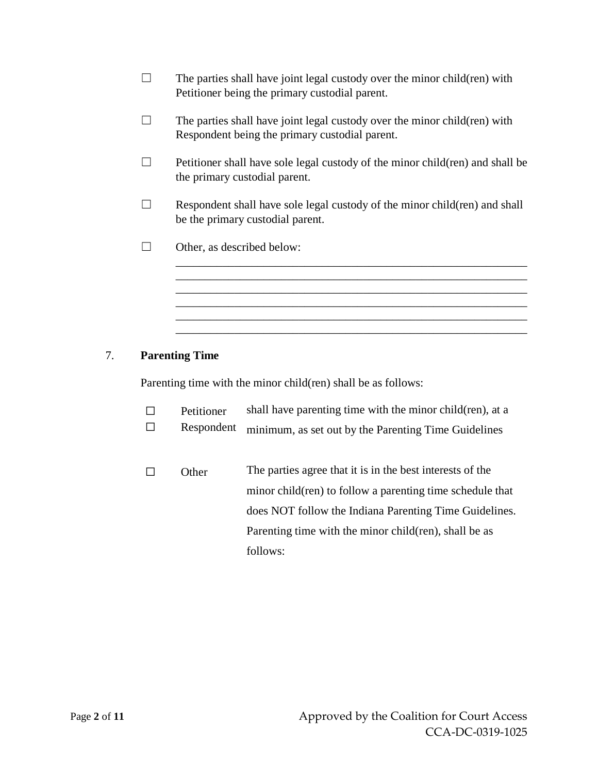- $\Box$  The parties shall have joint legal custody over the minor child(ren) with Petitioner being the primary custodial parent.
- $\Box$  The parties shall have joint legal custody over the minor child(ren) with Respondent being the primary custodial parent.
- $\Box$  Petitioner shall have sole legal custody of the minor child(ren) and shall be the primary custodial parent.
- $\Box$  Respondent shall have sole legal custody of the minor child(ren) and shall be the primary custodial parent.

\_\_\_\_\_\_\_\_\_\_\_\_\_\_\_\_\_\_\_\_\_\_\_\_\_\_\_\_\_\_\_\_\_\_\_\_\_\_\_\_\_\_\_\_\_\_\_\_\_\_\_\_\_\_\_\_\_\_\_\_ \_\_\_\_\_\_\_\_\_\_\_\_\_\_\_\_\_\_\_\_\_\_\_\_\_\_\_\_\_\_\_\_\_\_\_\_\_\_\_\_\_\_\_\_\_\_\_\_\_\_\_\_\_\_\_\_\_\_\_\_ \_\_\_\_\_\_\_\_\_\_\_\_\_\_\_\_\_\_\_\_\_\_\_\_\_\_\_\_\_\_\_\_\_\_\_\_\_\_\_\_\_\_\_\_\_\_\_\_\_\_\_\_\_\_\_\_\_\_\_\_ \_\_\_\_\_\_\_\_\_\_\_\_\_\_\_\_\_\_\_\_\_\_\_\_\_\_\_\_\_\_\_\_\_\_\_\_\_\_\_\_\_\_\_\_\_\_\_\_\_\_\_\_\_\_\_\_\_\_\_\_ \_\_\_\_\_\_\_\_\_\_\_\_\_\_\_\_\_\_\_\_\_\_\_\_\_\_\_\_\_\_\_\_\_\_\_\_\_\_\_\_\_\_\_\_\_\_\_\_\_\_\_\_\_\_\_\_\_\_\_\_ \_\_\_\_\_\_\_\_\_\_\_\_\_\_\_\_\_\_\_\_\_\_\_\_\_\_\_\_\_\_\_\_\_\_\_\_\_\_\_\_\_\_\_\_\_\_\_\_\_\_\_\_\_\_\_\_\_\_\_\_

 $\Box$  Other, as described below:

# 7. **Parenting Time**

Parenting time with the minor child(ren) shall be as follows:

- ☐ Petitioner shall have parenting time with the minor child(ren), at a
- ☐ Respondent minimum, as set out by the Parenting Time Guidelines
- ☐ Other The parties agree that it is in the best interests of the minor child(ren) to follow a parenting time schedule that does NOT follow the Indiana Parenting Time Guidelines. Parenting time with the minor child(ren), shall be as follows: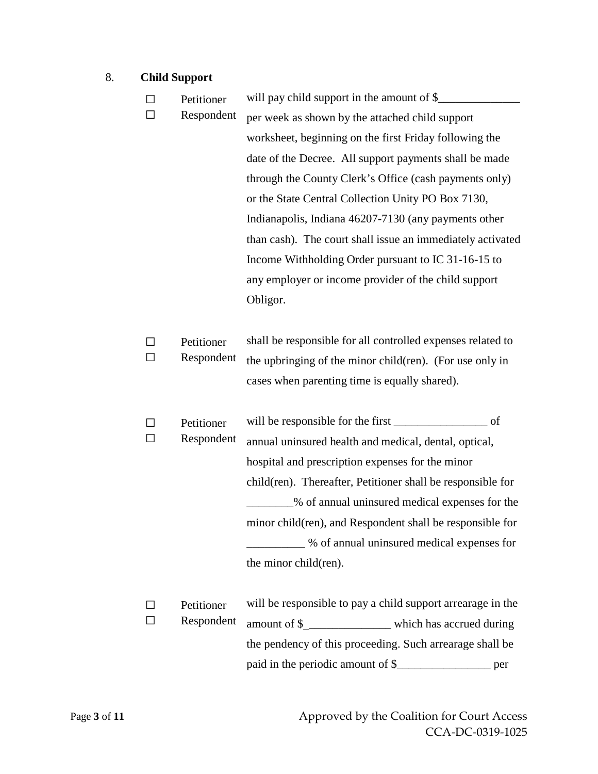# 8. **Child Support**

|  | Petitioner | will pay child support in the amount of \$_                 |  |
|--|------------|-------------------------------------------------------------|--|
|  | Respondent | per week as shown by the attached child support             |  |
|  |            | worksheet, beginning on the first Friday following the      |  |
|  |            | date of the Decree. All support payments shall be made      |  |
|  |            | through the County Clerk's Office (cash payments only)      |  |
|  |            | or the State Central Collection Unity PO Box 7130,          |  |
|  |            | Indianapolis, Indiana 46207-7130 (any payments other        |  |
|  |            | than cash). The court shall issue an immediately activated  |  |
|  |            | Income Withholding Order pursuant to IC 31-16-15 to         |  |
|  |            | any employer or income provider of the child support        |  |
|  |            | Obligor.                                                    |  |
|  |            |                                                             |  |
|  | Petitioner | shall be responsible for all controlled expenses related to |  |
|  | Respondent | the upbringing of the minor child(ren). (For use only in    |  |
|  |            | cases when parenting time is equally shared).               |  |
|  |            |                                                             |  |
|  | Petitioner | of                                                          |  |
|  | Respondent | annual uninsured health and medical, dental, optical,       |  |
|  |            | hospital and prescription expenses for the minor            |  |
|  |            | child(ren). Thereafter, Petitioner shall be responsible for |  |
|  |            | % of annual uninsured medical expenses for the              |  |
|  |            | minor child(ren), and Respondent shall be responsible for   |  |
|  |            | _% of annual uninsured medical expenses for                 |  |
|  |            | the minor child(ren).                                       |  |
|  |            |                                                             |  |
|  | Petitioner | will be responsible to pay a child support arrearage in the |  |

☐ Respondent amount of \$\_\_\_\_\_\_\_\_\_\_\_\_\_\_\_ which has accrued during the pendency of this proceeding. Such arrearage shall be paid in the periodic amount of \$\_\_\_\_\_\_\_\_\_\_\_\_\_\_\_\_ per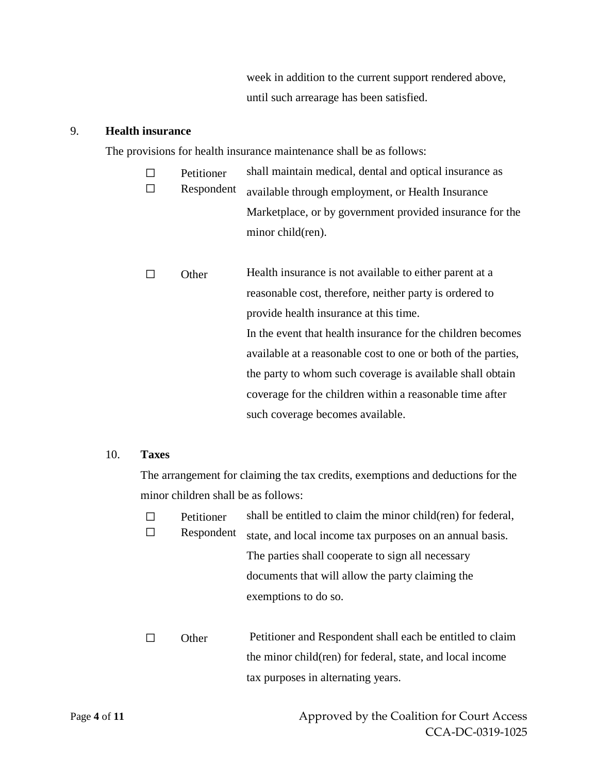week in addition to the current support rendered above, until such arrearage has been satisfied.

#### 9. **Health insurance**

The provisions for health insurance maintenance shall be as follows:

- ☐ Petitioner ☐ Respondent shall maintain medical, dental and optical insurance as available through employment, or Health Insurance Marketplace, or by government provided insurance for the minor child(ren).
- ☐ Other Health insurance is not available to either parent at a reasonable cost, therefore, neither party is ordered to provide health insurance at this time. In the event that health insurance for the children becomes available at a reasonable cost to one or both of the parties, the party to whom such coverage is available shall obtain coverage for the children within a reasonable time after such coverage becomes available.

### 10. **Taxes**

The arrangement for claiming the tax credits, exemptions and deductions for the minor children shall be as follows:

- ☐ Petitioner ☐ Respondent shall be entitled to claim the minor child(ren) for federal, state, and local income tax purposes on an annual basis. The parties shall cooperate to sign all necessary documents that will allow the party claiming the exemptions to do so.
- □ Other Petitioner and Respondent shall each be entitled to claim the minor child(ren) for federal, state, and local income tax purposes in alternating years.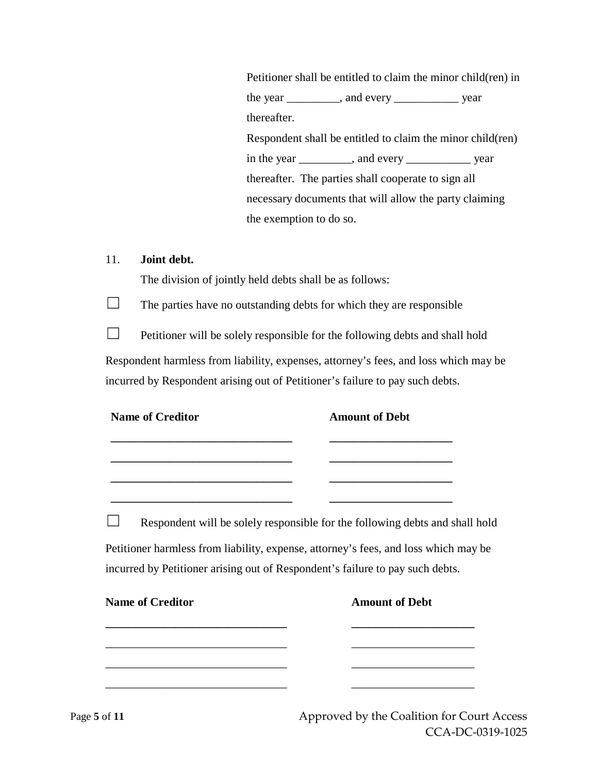Petitioner shall be entitled to claim the minor child(ren) in the year \_\_\_\_\_\_\_\_\_, and every \_\_\_\_\_\_\_\_\_\_\_ year thereafter. Respondent shall be entitled to claim the minor child(ren) in the year \_\_\_\_\_\_\_\_\_, and every \_\_\_\_\_\_\_\_\_\_\_ year thereafter. The parties shall cooperate to sign all necessary documents that will allow the party claiming the exemption to do so.

### 11. **Joint debt.**

The division of jointly held debts shall be as follows:

 $\Box$  The parties have no outstanding debts for which they are responsible

 $\Box$  Petitioner will be solely responsible for the following debts and shall hold Respondent harmless from liability, expenses, attorney's fees, and loss which may be incurred by Respondent arising out of Petitioner's failure to pay such debts.

| <b>Name of Creditor</b>                                                                   | <b>Amount of Debt</b>                                                                                                                                   |
|-------------------------------------------------------------------------------------------|---------------------------------------------------------------------------------------------------------------------------------------------------------|
|                                                                                           | ______________________________<br><u> 1980 - Johann Barbara, martin amerikan basar dan berasal dalam basar dalam basar dalam basar dalam basar dala</u> |
|                                                                                           | Respondent will be solely responsible for the following debts and shall hold                                                                            |
| incurred by Petitioner arising out of Respondent's failure to pay such debts.             | Petitioner harmless from liability, expense, attorney's fees, and loss which may be                                                                     |
| <b>Name of Creditor</b>                                                                   | <b>Amount of Debt</b>                                                                                                                                   |
| the control of the control of the control of the control of the control of the control of |                                                                                                                                                         |
|                                                                                           |                                                                                                                                                         |

Page 5 of 11 Approved by the Coalition for Court Access CCA-DC-0319-1025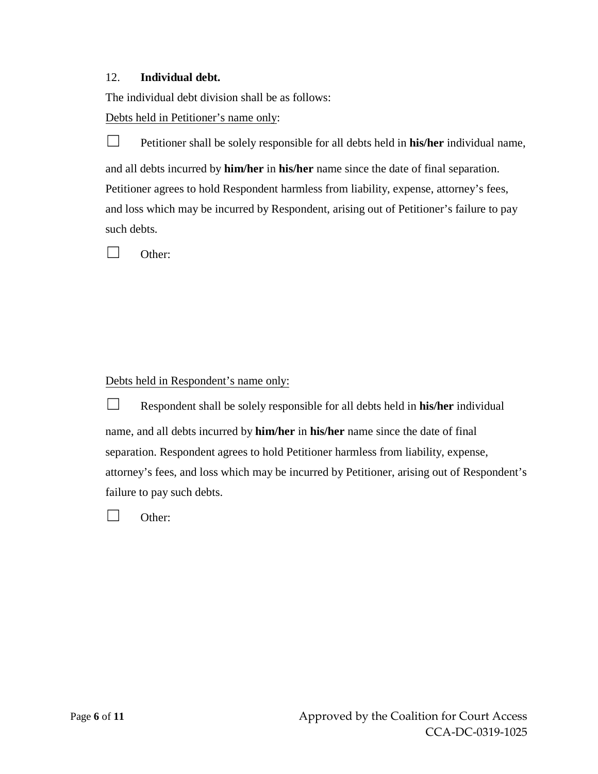### 12. **Individual debt.**

The individual debt division shall be as follows:

Debts held in Petitioner's name only:

☐ Petitioner shall be solely responsible for all debts held in **his/her** individual name, and all debts incurred by **him/her** in **his/her** name since the date of final separation. Petitioner agrees to hold Respondent harmless from liability, expense, attorney's fees, and loss which may be incurred by Respondent, arising out of Petitioner's failure to pay such debts.

☐ Other:

Debts held in Respondent's name only:

☐ Respondent shall be solely responsible for all debts held in **his/her** individual name, and all debts incurred by **him/her** in **his/her** name since the date of final separation. Respondent agrees to hold Petitioner harmless from liability, expense, attorney's fees, and loss which may be incurred by Petitioner, arising out of Respondent's failure to pay such debts.

☐ Other: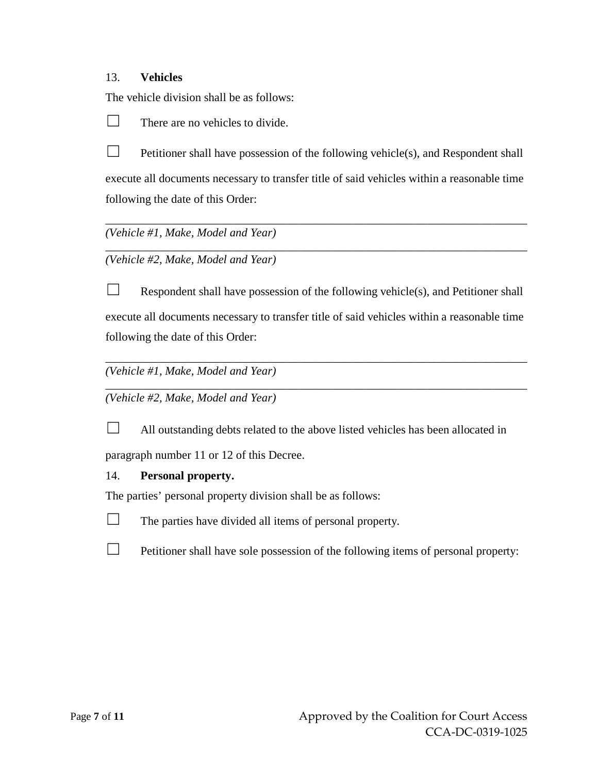### 13. **Vehicles**

The vehicle division shall be as follows:

 $\Box$  There are no vehicles to divide.

 $\Box$  Petitioner shall have possession of the following vehicle(s), and Respondent shall execute all documents necessary to transfer title of said vehicles within a reasonable time following the date of this Order:

\_\_\_\_\_\_\_\_\_\_\_\_\_\_\_\_\_\_\_\_\_\_\_\_\_\_\_\_\_\_\_\_\_\_\_\_\_\_\_\_\_\_\_\_\_\_\_\_\_\_\_\_\_\_\_\_\_\_\_\_\_\_\_\_\_\_\_\_\_\_\_\_

\_\_\_\_\_\_\_\_\_\_\_\_\_\_\_\_\_\_\_\_\_\_\_\_\_\_\_\_\_\_\_\_\_\_\_\_\_\_\_\_\_\_\_\_\_\_\_\_\_\_\_\_\_\_\_\_\_\_\_\_\_\_\_\_\_\_\_\_\_\_\_\_

*(Vehicle #1, Make, Model and Year)* 

*(Vehicle #2, Make, Model and Year)* 

 $\Box$  Respondent shall have possession of the following vehicle(s), and Petitioner shall execute all documents necessary to transfer title of said vehicles within a reasonable time following the date of this Order:

\_\_\_\_\_\_\_\_\_\_\_\_\_\_\_\_\_\_\_\_\_\_\_\_\_\_\_\_\_\_\_\_\_\_\_\_\_\_\_\_\_\_\_\_\_\_\_\_\_\_\_\_\_\_\_\_\_\_\_\_\_\_\_\_\_\_\_\_\_\_\_\_

\_\_\_\_\_\_\_\_\_\_\_\_\_\_\_\_\_\_\_\_\_\_\_\_\_\_\_\_\_\_\_\_\_\_\_\_\_\_\_\_\_\_\_\_\_\_\_\_\_\_\_\_\_\_\_\_\_\_\_\_\_\_\_\_\_\_\_\_\_\_\_\_

*(Vehicle #1, Make, Model and Year)* 

*(Vehicle #2, Make, Model and Year)* 



 $\Box$  All outstanding debts related to the above listed vehicles has been allocated in

paragraph number 11 or 12 of this Decree.

### 14. **Personal property.**

The parties' personal property division shall be as follows:



 $\Box$  The parties have divided all items of personal property.

 $\Box$  Petitioner shall have sole possession of the following items of personal property: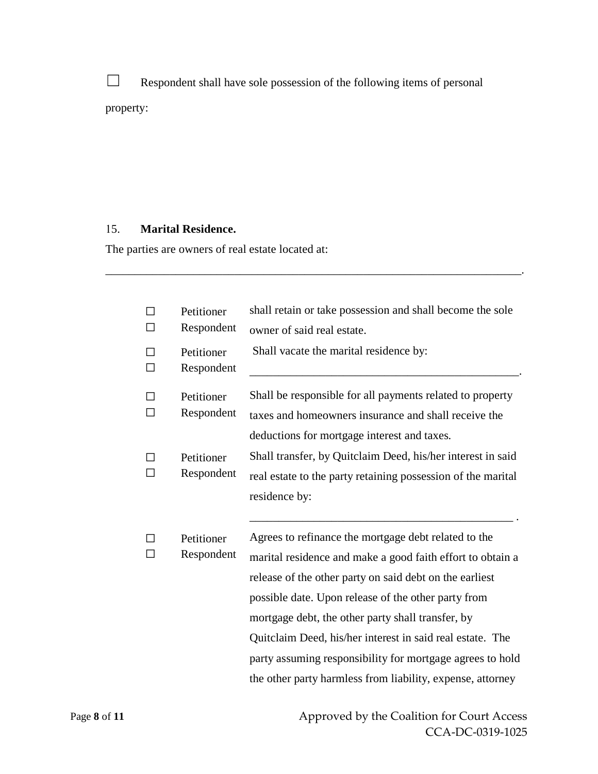□ Respondent shall have sole possession of the following items of personal property:

\_\_\_\_\_\_\_\_\_\_\_\_\_\_\_\_\_\_\_\_\_\_\_\_\_\_\_\_\_\_\_\_\_\_\_\_\_\_\_\_\_\_\_\_\_\_\_\_\_\_\_\_\_\_\_\_\_\_\_\_\_\_\_\_\_\_\_\_\_\_\_.

## 15. **Marital Residence.**

The parties are owners of real estate located at:

| Petitioner<br>Respondent | shall retain or take possession and shall become the sole<br>owner of said real estate.                                                                                                                                                                                                                                                                                                                                                                                           |
|--------------------------|-----------------------------------------------------------------------------------------------------------------------------------------------------------------------------------------------------------------------------------------------------------------------------------------------------------------------------------------------------------------------------------------------------------------------------------------------------------------------------------|
| Petitioner<br>Respondent | Shall vacate the marital residence by:                                                                                                                                                                                                                                                                                                                                                                                                                                            |
| Petitioner<br>Respondent | Shall be responsible for all payments related to property<br>taxes and homeowners insurance and shall receive the<br>deductions for mortgage interest and taxes.                                                                                                                                                                                                                                                                                                                  |
| Petitioner<br>Respondent | Shall transfer, by Quitclaim Deed, his/her interest in said<br>real estate to the party retaining possession of the marital<br>residence by:                                                                                                                                                                                                                                                                                                                                      |
| Petitioner<br>Respondent | Agrees to refinance the mortgage debt related to the<br>marital residence and make a good faith effort to obtain a<br>release of the other party on said debt on the earliest<br>possible date. Upon release of the other party from<br>mortgage debt, the other party shall transfer, by<br>Quitclaim Deed, his/her interest in said real estate. The<br>party assuming responsibility for mortgage agrees to hold<br>the other party harmless from liability, expense, attorney |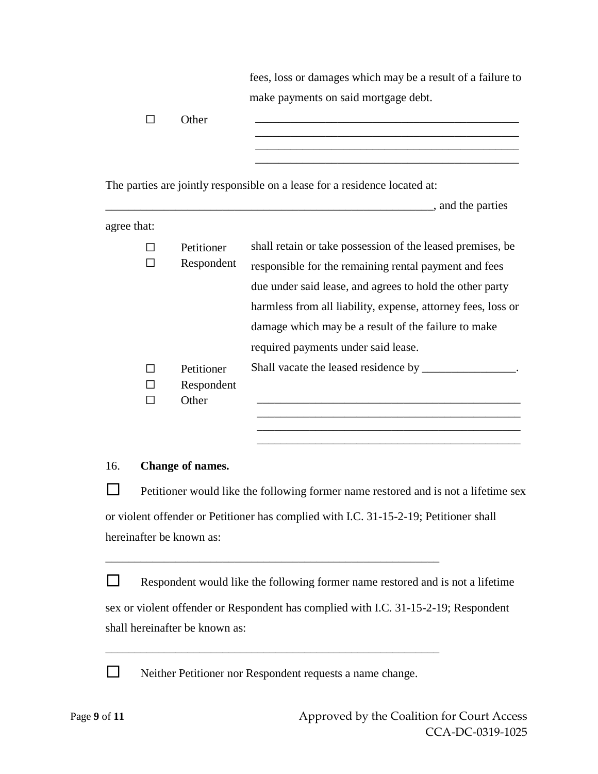|             | $\Box$       | Other                             | fees, loss or damages which may be a result of a failure to<br>make payments on said mortgage debt.<br><u> 1989 - Johann Stoff, amerikansk politiker (d. 1989)</u>                                                                                                                                                                            |
|-------------|--------------|-----------------------------------|-----------------------------------------------------------------------------------------------------------------------------------------------------------------------------------------------------------------------------------------------------------------------------------------------------------------------------------------------|
|             |              |                                   | <u> 1989 - Johann Barbara, margaret eta idazlea (h. 1989).</u><br>The parties are jointly responsible on a lease for a residence located at:<br>and the parties                                                                                                                                                                               |
| agree that: |              |                                   |                                                                                                                                                                                                                                                                                                                                               |
|             | ΙI           | Petitioner<br>Respondent          | shall retain or take possession of the leased premises, be<br>responsible for the remaining rental payment and fees<br>due under said lease, and agrees to hold the other party<br>harmless from all liability, expense, attorney fees, loss or<br>damage which may be a result of the failure to make<br>required payments under said lease. |
|             | $\mathsf{L}$ | Petitioner<br>Respondent<br>Other | Shall vacate the leased residence by ________________.                                                                                                                                                                                                                                                                                        |
| 16.         |              | Change of names.                  |                                                                                                                                                                                                                                                                                                                                               |
|             |              |                                   | Petitioner would like the following former name restored and is not a lifetime sex                                                                                                                                                                                                                                                            |
|             |              | hereinafter be known as:          | or violent offender or Petitioner has complied with I.C. 31-15-2-19; Petitioner shall                                                                                                                                                                                                                                                         |

 $\Box$  Respondent would like the following former name restored and is not a lifetime sex or violent offender or Respondent has complied with I.C. 31-15-2-19; Respondent shall hereinafter be known as:

\_\_\_\_\_\_\_\_\_\_\_\_\_\_\_\_\_\_\_\_\_\_\_\_\_\_\_\_\_\_\_\_\_\_\_\_\_\_\_\_\_\_\_\_\_\_\_\_\_\_\_\_\_\_\_\_\_

□ Neither Petitioner nor Respondent requests a name change.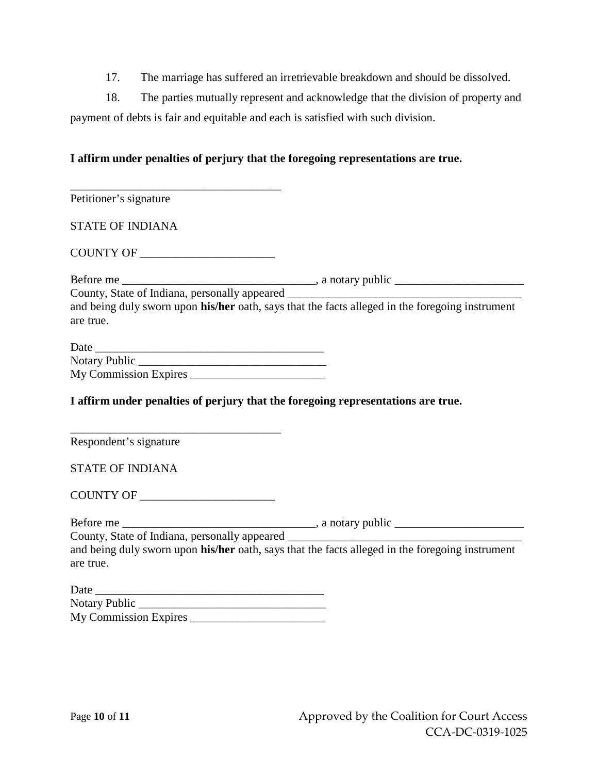17. The marriage has suffered an irretrievable breakdown and should be dissolved.

18. The parties mutually represent and acknowledge that the division of property and payment of debts is fair and equitable and each is satisfied with such division.

### **I affirm under penalties of perjury that the foregoing representations are true.**

| <u> 1980 - Johann Barbara, martin amerikan basar da</u>                                                      |  |
|--------------------------------------------------------------------------------------------------------------|--|
| Petitioner's signature                                                                                       |  |
| <b>STATE OF INDIANA</b>                                                                                      |  |
|                                                                                                              |  |
|                                                                                                              |  |
| County, State of Indiana, personally appeared ___________________________________                            |  |
| and being duly sworn upon his/her oath, says that the facts alleged in the foregoing instrument              |  |
| are true.                                                                                                    |  |
|                                                                                                              |  |
|                                                                                                              |  |
|                                                                                                              |  |
|                                                                                                              |  |
| I affirm under penalties of perjury that the foregoing representations are true.                             |  |
| Respondent's signature                                                                                       |  |
| <b>STATE OF INDIANA</b>                                                                                      |  |
|                                                                                                              |  |
|                                                                                                              |  |
| County, State of Indiana, personally appeared __________________________________                             |  |
| and being duly sworn upon his/her oath, says that the facts alleged in the foregoing instrument<br>are true. |  |
|                                                                                                              |  |
|                                                                                                              |  |
|                                                                                                              |  |